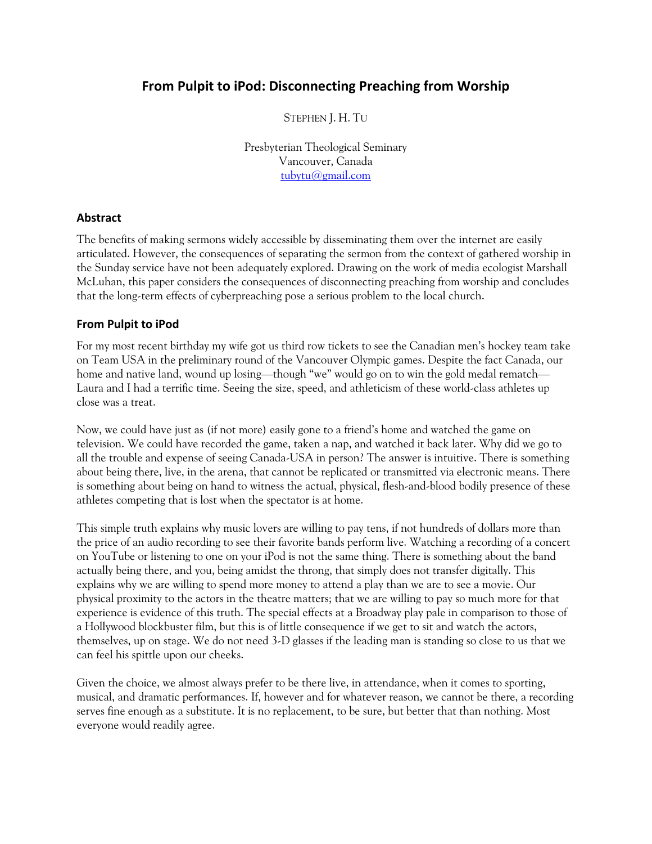# **From Pulpit to iPod: Disconnecting Preaching from Worship**

STEPHEN J. H. TU

Presbyterian Theological Seminary Vancouver, Canada tubytu@gmail.com

## **Abstract**

The benefits of making sermons widely accessible by disseminating them over the internet are easily articulated. However, the consequences of separating the sermon from the context of gathered worship in the Sunday service have not been adequately explored. Drawing on the work of media ecologist Marshall McLuhan, this paper considers the consequences of disconnecting preaching from worship and concludes that the long-term effects of cyberpreaching pose a serious problem to the local church.

## **From Pulpit to iPod**

For my most recent birthday my wife got us third row tickets to see the Canadian men's hockey team take on Team USA in the preliminary round of the Vancouver Olympic games. Despite the fact Canada, our home and native land, wound up losing—though "we" would go on to win the gold medal rematch— Laura and I had a terrific time. Seeing the size, speed, and athleticism of these world-class athletes up close was a treat.

Now, we could have just as (if not more) easily gone to a friend's home and watched the game on television. We could have recorded the game, taken a nap, and watched it back later. Why did we go to all the trouble and expense of seeing Canada-USA in person? The answer is intuitive. There is something about being there, live, in the arena, that cannot be replicated or transmitted via electronic means. There is something about being on hand to witness the actual, physical, flesh-and-blood bodily presence of these athletes competing that is lost when the spectator is at home.

This simple truth explains why music lovers are willing to pay tens, if not hundreds of dollars more than the price of an audio recording to see their favorite bands perform live. Watching a recording of a concert on YouTube or listening to one on your iPod is not the same thing. There is something about the band actually being there, and you, being amidst the throng, that simply does not transfer digitally. This explains why we are willing to spend more money to attend a play than we are to see a movie. Our physical proximity to the actors in the theatre matters; that we are willing to pay so much more for that experience is evidence of this truth. The special effects at a Broadway play pale in comparison to those of a Hollywood blockbuster film, but this is of little consequence if we get to sit and watch the actors, themselves, up on stage. We do not need 3-D glasses if the leading man is standing so close to us that we can feel his spittle upon our cheeks.

Given the choice, we almost always prefer to be there live, in attendance, when it comes to sporting, musical, and dramatic performances. If, however and for whatever reason, we cannot be there, a recording serves fine enough as a substitute. It is no replacement, to be sure, but better that than nothing. Most everyone would readily agree.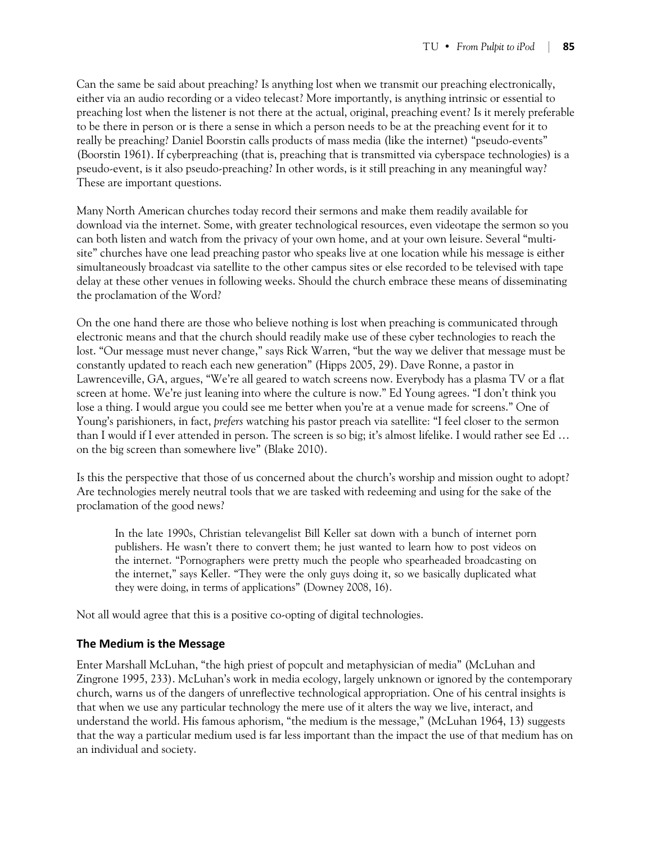Can the same be said about preaching? Is anything lost when we transmit our preaching electronically, either via an audio recording or a video telecast? More importantly, is anything intrinsic or essential to preaching lost when the listener is not there at the actual, original, preaching event? Is it merely preferable to be there in person or is there a sense in which a person needs to be at the preaching event for it to really be preaching? Daniel Boorstin calls products of mass media (like the internet) "pseudo-events" (Boorstin 1961). If cyberpreaching (that is, preaching that is transmitted via cyberspace technologies) is a pseudo-event, is it also pseudo-preaching? In other words, is it still preaching in any meaningful way? These are important questions.

Many North American churches today record their sermons and make them readily available for download via the internet. Some, with greater technological resources, even videotape the sermon so you can both listen and watch from the privacy of your own home, and at your own leisure. Several "multisite" churches have one lead preaching pastor who speaks live at one location while his message is either simultaneously broadcast via satellite to the other campus sites or else recorded to be televised with tape delay at these other venues in following weeks. Should the church embrace these means of disseminating the proclamation of the Word?

On the one hand there are those who believe nothing is lost when preaching is communicated through electronic means and that the church should readily make use of these cyber technologies to reach the lost. "Our message must never change," says Rick Warren, "but the way we deliver that message must be constantly updated to reach each new generation" (Hipps 2005, 29). Dave Ronne, a pastor in Lawrenceville, GA, argues, "We're all geared to watch screens now. Everybody has a plasma TV or a flat screen at home. We're just leaning into where the culture is now." Ed Young agrees. "I don't think you lose a thing. I would argue you could see me better when you're at a venue made for screens." One of Young's parishioners, in fact, *prefers* watching his pastor preach via satellite: "I feel closer to the sermon than I would if I ever attended in person. The screen is so big; it's almost lifelike. I would rather see Ed … on the big screen than somewhere live" (Blake 2010).

Is this the perspective that those of us concerned about the church's worship and mission ought to adopt? Are technologies merely neutral tools that we are tasked with redeeming and using for the sake of the proclamation of the good news?

In the late 1990s, Christian televangelist Bill Keller sat down with a bunch of internet porn publishers. He wasn't there to convert them; he just wanted to learn how to post videos on the internet. "Pornographers were pretty much the people who spearheaded broadcasting on the internet," says Keller. "They were the only guys doing it, so we basically duplicated what they were doing, in terms of applications" (Downey 2008, 16).

Not all would agree that this is a positive co-opting of digital technologies.

## **The Medium is the Message**

Enter Marshall McLuhan, "the high priest of popcult and metaphysician of media" (McLuhan and Zingrone 1995, 233). McLuhan's work in media ecology, largely unknown or ignored by the contemporary church, warns us of the dangers of unreflective technological appropriation. One of his central insights is that when we use any particular technology the mere use of it alters the way we live, interact, and understand the world. His famous aphorism, "the medium is the message," (McLuhan 1964, 13) suggests that the way a particular medium used is far less important than the impact the use of that medium has on an individual and society.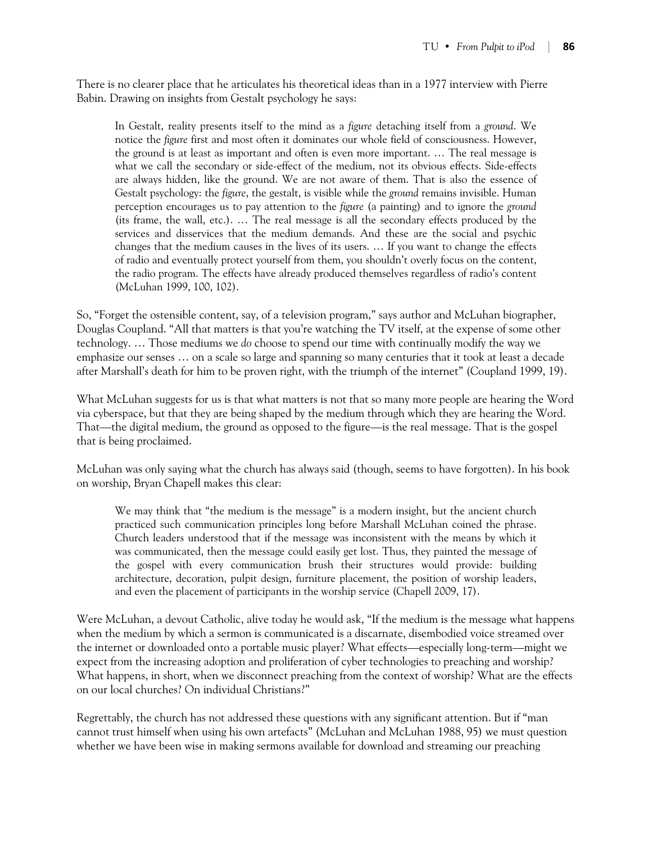There is no clearer place that he articulates his theoretical ideas than in a 1977 interview with Pierre Babin. Drawing on insights from Gestalt psychology he says:

In Gestalt, reality presents itself to the mind as a *figure* detaching itself from a *ground*. We notice the *figure* first and most often it dominates our whole field of consciousness. However, the ground is at least as important and often is even more important. … The real message is what we call the secondary or side-effect of the medium, not its obvious effects. Side-effects are always hidden, like the ground. We are not aware of them. That is also the essence of Gestalt psychology: the *figure*, the gestalt, is visible while the *ground* remains invisible. Human perception encourages us to pay attention to the *figure* (a painting) and to ignore the *ground* (its frame, the wall, etc.). … The real message is all the secondary effects produced by the services and disservices that the medium demands. And these are the social and psychic changes that the medium causes in the lives of its users. … If you want to change the effects of radio and eventually protect yourself from them, you shouldn't overly focus on the content, the radio program. The effects have already produced themselves regardless of radio's content (McLuhan 1999, 100, 102).

So, "Forget the ostensible content, say, of a television program," says author and McLuhan biographer, Douglas Coupland. "All that matters is that you're watching the TV itself, at the expense of some other technology. … Those mediums we *do* choose to spend our time with continually modify the way we emphasize our senses … on a scale so large and spanning so many centuries that it took at least a decade after Marshall's death for him to be proven right, with the triumph of the internet" (Coupland 1999, 19).

What McLuhan suggests for us is that what matters is not that so many more people are hearing the Word via cyberspace, but that they are being shaped by the medium through which they are hearing the Word. That—the digital medium, the ground as opposed to the figure—is the real message. That is the gospel that is being proclaimed.

McLuhan was only saying what the church has always said (though, seems to have forgotten). In his book on worship, Bryan Chapell makes this clear:

We may think that "the medium is the message" is a modern insight, but the ancient church practiced such communication principles long before Marshall McLuhan coined the phrase. Church leaders understood that if the message was inconsistent with the means by which it was communicated, then the message could easily get lost. Thus, they painted the message of the gospel with every communication brush their structures would provide: building architecture, decoration, pulpit design, furniture placement, the position of worship leaders, and even the placement of participants in the worship service (Chapell 2009, 17).

Were McLuhan, a devout Catholic, alive today he would ask, "If the medium is the message what happens when the medium by which a sermon is communicated is a discarnate, disembodied voice streamed over the internet or downloaded onto a portable music player? What effects—especially long-term—might we expect from the increasing adoption and proliferation of cyber technologies to preaching and worship? What happens, in short, when we disconnect preaching from the context of worship? What are the effects on our local churches? On individual Christians?"

Regrettably, the church has not addressed these questions with any significant attention. But if "man cannot trust himself when using his own artefacts" (McLuhan and McLuhan 1988, 95) we must question whether we have been wise in making sermons available for download and streaming our preaching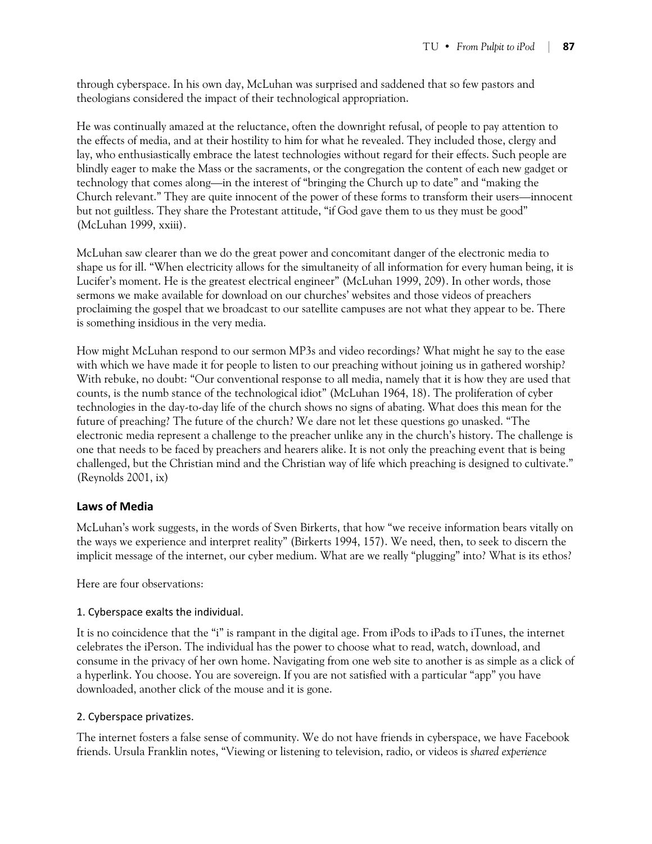through cyberspace. In his own day, McLuhan was surprised and saddened that so few pastors and theologians considered the impact of their technological appropriation.

He was continually amazed at the reluctance, often the downright refusal, of people to pay attention to the effects of media, and at their hostility to him for what he revealed. They included those, clergy and lay, who enthusiastically embrace the latest technologies without regard for their effects. Such people are blindly eager to make the Mass or the sacraments, or the congregation the content of each new gadget or technology that comes along—in the interest of "bringing the Church up to date" and "making the Church relevant." They are quite innocent of the power of these forms to transform their users—innocent but not guiltless. They share the Protestant attitude, "if God gave them to us they must be good" (McLuhan 1999, xxiii).

McLuhan saw clearer than we do the great power and concomitant danger of the electronic media to shape us for ill. "When electricity allows for the simultaneity of all information for every human being, it is Lucifer's moment. He is the greatest electrical engineer" (McLuhan 1999, 209). In other words, those sermons we make available for download on our churches' websites and those videos of preachers proclaiming the gospel that we broadcast to our satellite campuses are not what they appear to be. There is something insidious in the very media.

How might McLuhan respond to our sermon MP3s and video recordings? What might he say to the ease with which we have made it for people to listen to our preaching without joining us in gathered worship? With rebuke, no doubt: "Our conventional response to all media, namely that it is how they are used that counts, is the numb stance of the technological idiot" (McLuhan 1964, 18). The proliferation of cyber technologies in the day-to-day life of the church shows no signs of abating. What does this mean for the future of preaching? The future of the church? We dare not let these questions go unasked. "The electronic media represent a challenge to the preacher unlike any in the church's history. The challenge is one that needs to be faced by preachers and hearers alike. It is not only the preaching event that is being challenged, but the Christian mind and the Christian way of life which preaching is designed to cultivate." (Reynolds 2001, ix)

# **Laws of Media**

McLuhan's work suggests, in the words of Sven Birkerts, that how "we receive information bears vitally on the ways we experience and interpret reality" (Birkerts 1994, 157). We need, then, to seek to discern the implicit message of the internet, our cyber medium. What are we really "plugging" into? What is its ethos?

Here are four observations:

## 1. Cyberspace exalts the individual.

It is no coincidence that the "i" is rampant in the digital age. From iPods to iPads to iTunes, the internet celebrates the iPerson. The individual has the power to choose what to read, watch, download, and consume in the privacy of her own home. Navigating from one web site to another is as simple as a click of a hyperlink. You choose. You are sovereign. If you are not satisfied with a particular "app" you have downloaded, another click of the mouse and it is gone.

## 2. Cyberspace privatizes.

The internet fosters a false sense of community. We do not have friends in cyberspace, we have Facebook friends. Ursula Franklin notes, "Viewing or listening to television, radio, or videos is *shared experience*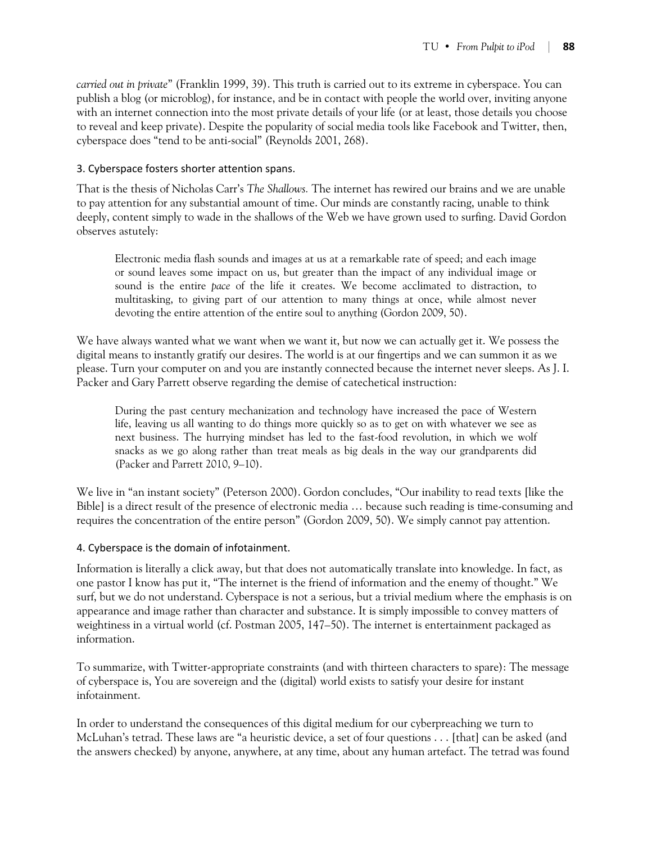*carried out in private*" (Franklin 1999, 39). This truth is carried out to its extreme in cyberspace. You can publish a blog (or microblog), for instance, and be in contact with people the world over, inviting anyone with an internet connection into the most private details of your life (or at least, those details you choose to reveal and keep private). Despite the popularity of social media tools like Facebook and Twitter, then, cyberspace does "tend to be anti-social" (Reynolds 2001, 268).

## 3. Cyberspace fosters shorter attention spans.

That is the thesis of Nicholas Carr's *The Shallows.* The internet has rewired our brains and we are unable to pay attention for any substantial amount of time. Our minds are constantly racing, unable to think deeply, content simply to wade in the shallows of the Web we have grown used to surfing. David Gordon observes astutely:

Electronic media flash sounds and images at us at a remarkable rate of speed; and each image or sound leaves some impact on us, but greater than the impact of any individual image or sound is the entire *pace* of the life it creates. We become acclimated to distraction, to multitasking, to giving part of our attention to many things at once, while almost never devoting the entire attention of the entire soul to anything (Gordon 2009, 50).

We have always wanted what we want when we want it, but now we can actually get it. We possess the digital means to instantly gratify our desires. The world is at our fingertips and we can summon it as we please. Turn your computer on and you are instantly connected because the internet never sleeps. As J. I. Packer and Gary Parrett observe regarding the demise of catechetical instruction:

During the past century mechanization and technology have increased the pace of Western life, leaving us all wanting to do things more quickly so as to get on with whatever we see as next business. The hurrying mindset has led to the fast-food revolution, in which we wolf snacks as we go along rather than treat meals as big deals in the way our grandparents did (Packer and Parrett 2010, 9–10).

We live in "an instant society" (Peterson 2000). Gordon concludes, "Our inability to read texts [like the Bible] is a direct result of the presence of electronic media … because such reading is time-consuming and requires the concentration of the entire person" (Gordon 2009, 50). We simply cannot pay attention.

#### 4. Cyberspace is the domain of infotainment.

Information is literally a click away, but that does not automatically translate into knowledge. In fact, as one pastor I know has put it, "The internet is the friend of information and the enemy of thought." We surf, but we do not understand. Cyberspace is not a serious, but a trivial medium where the emphasis is on appearance and image rather than character and substance. It is simply impossible to convey matters of weightiness in a virtual world (cf. Postman 2005, 147–50). The internet is entertainment packaged as information.

To summarize, with Twitter-appropriate constraints (and with thirteen characters to spare): The message of cyberspace is, You are sovereign and the (digital) world exists to satisfy your desire for instant infotainment.

In order to understand the consequences of this digital medium for our cyberpreaching we turn to McLuhan's tetrad. These laws are "a heuristic device, a set of four questions . . . [that] can be asked (and the answers checked) by anyone, anywhere, at any time, about any human artefact. The tetrad was found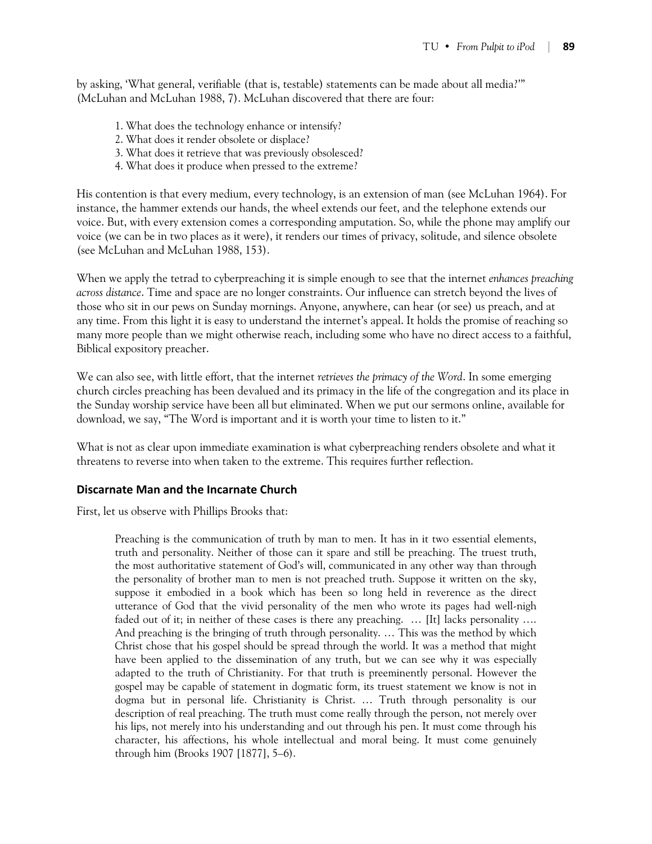by asking, 'What general, verifiable (that is, testable) statements can be made about all media?'" (McLuhan and McLuhan 1988, 7). McLuhan discovered that there are four:

- 1. What does the technology enhance or intensify?
- 2. What does it render obsolete or displace?
- 3. What does it retrieve that was previously obsolesced?
- 4. What does it produce when pressed to the extreme?

His contention is that every medium, every technology, is an extension of man (see McLuhan 1964). For instance, the hammer extends our hands, the wheel extends our feet, and the telephone extends our voice. But, with every extension comes a corresponding amputation. So, while the phone may amplify our voice (we can be in two places as it were), it renders our times of privacy, solitude, and silence obsolete (see McLuhan and McLuhan 1988, 153).

When we apply the tetrad to cyberpreaching it is simple enough to see that the internet *enhances preaching across distance*. Time and space are no longer constraints. Our influence can stretch beyond the lives of those who sit in our pews on Sunday mornings. Anyone, anywhere, can hear (or see) us preach, and at any time. From this light it is easy to understand the internet's appeal. It holds the promise of reaching so many more people than we might otherwise reach, including some who have no direct access to a faithful, Biblical expository preacher.

We can also see, with little effort, that the internet *retrieves the primacy of the Word*. In some emerging church circles preaching has been devalued and its primacy in the life of the congregation and its place in the Sunday worship service have been all but eliminated. When we put our sermons online, available for download, we say, "The Word is important and it is worth your time to listen to it."

What is not as clear upon immediate examination is what cyberpreaching renders obsolete and what it threatens to reverse into when taken to the extreme. This requires further reflection.

## **Discarnate Man and the Incarnate Church**

First, let us observe with Phillips Brooks that:

Preaching is the communication of truth by man to men. It has in it two essential elements, truth and personality. Neither of those can it spare and still be preaching. The truest truth, the most authoritative statement of God's will, communicated in any other way than through the personality of brother man to men is not preached truth. Suppose it written on the sky, suppose it embodied in a book which has been so long held in reverence as the direct utterance of God that the vivid personality of the men who wrote its pages had well-nigh faded out of it; in neither of these cases is there any preaching. … [It] lacks personality …. And preaching is the bringing of truth through personality. … This was the method by which Christ chose that his gospel should be spread through the world. It was a method that might have been applied to the dissemination of any truth, but we can see why it was especially adapted to the truth of Christianity. For that truth is preeminently personal. However the gospel may be capable of statement in dogmatic form, its truest statement we know is not in dogma but in personal life. Christianity is Christ. … Truth through personality is our description of real preaching. The truth must come really through the person, not merely over his lips, not merely into his understanding and out through his pen. It must come through his character, his affections, his whole intellectual and moral being. It must come genuinely through him (Brooks 1907 [1877], 5–6).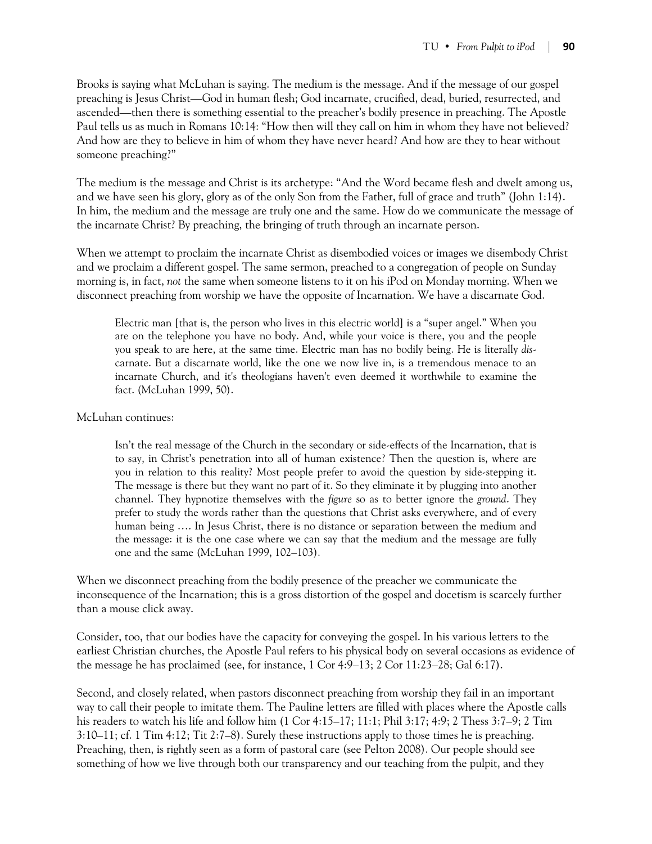Brooks is saying what McLuhan is saying. The medium is the message. And if the message of our gospel preaching is Jesus Christ—God in human flesh; God incarnate, crucified, dead, buried, resurrected, and ascended—then there is something essential to the preacher's bodily presence in preaching. The Apostle Paul tells us as much in Romans 10:14: "How then will they call on him in whom they have not believed? And how are they to believe in him of whom they have never heard? And how are they to hear without someone preaching?"

The medium is the message and Christ is its archetype: "And the Word became flesh and dwelt among us, and we have seen his glory, glory as of the only Son from the Father, full of grace and truth" (John 1:14). In him, the medium and the message are truly one and the same. How do we communicate the message of the incarnate Christ? By preaching, the bringing of truth through an incarnate person.

When we attempt to proclaim the incarnate Christ as disembodied voices or images we disembody Christ and we proclaim a different gospel. The same sermon, preached to a congregation of people on Sunday morning is, in fact, *not* the same when someone listens to it on his iPod on Monday morning. When we disconnect preaching from worship we have the opposite of Incarnation. We have a discarnate God.

Electric man [that is, the person who lives in this electric world] is a "super angel." When you are on the telephone you have no body. And, while your voice is there, you and the people you speak to are here, at the same time. Electric man has no bodily being. He is literally *dis*carnate. But a discarnate world, like the one we now live in, is a tremendous menace to an incarnate Church, and it's theologians haven't even deemed it worthwhile to examine the fact. (McLuhan 1999, 50).

#### McLuhan continues:

Isn't the real message of the Church in the secondary or side-effects of the Incarnation, that is to say, in Christ's penetration into all of human existence? Then the question is, where are you in relation to this reality? Most people prefer to avoid the question by side-stepping it. The message is there but they want no part of it. So they eliminate it by plugging into another channel. They hypnotize themselves with the *figure* so as to better ignore the *ground*. They prefer to study the words rather than the questions that Christ asks everywhere, and of every human being …. In Jesus Christ, there is no distance or separation between the medium and the message: it is the one case where we can say that the medium and the message are fully one and the same (McLuhan 1999, 102–103).

When we disconnect preaching from the bodily presence of the preacher we communicate the inconsequence of the Incarnation; this is a gross distortion of the gospel and docetism is scarcely further than a mouse click away.

Consider, too, that our bodies have the capacity for conveying the gospel. In his various letters to the earliest Christian churches, the Apostle Paul refers to his physical body on several occasions as evidence of the message he has proclaimed (see, for instance, 1 Cor 4:9–13; 2 Cor 11:23–28; Gal 6:17).

Second, and closely related, when pastors disconnect preaching from worship they fail in an important way to call their people to imitate them. The Pauline letters are filled with places where the Apostle calls his readers to watch his life and follow him (1 Cor 4:15–17; 11:1; Phil 3:17; 4:9; 2 Thess 3:7–9; 2 Tim 3:10–11; cf. 1 Tim 4:12; Tit 2:7–8). Surely these instructions apply to those times he is preaching. Preaching, then, is rightly seen as a form of pastoral care (see Pelton 2008). Our people should see something of how we live through both our transparency and our teaching from the pulpit, and they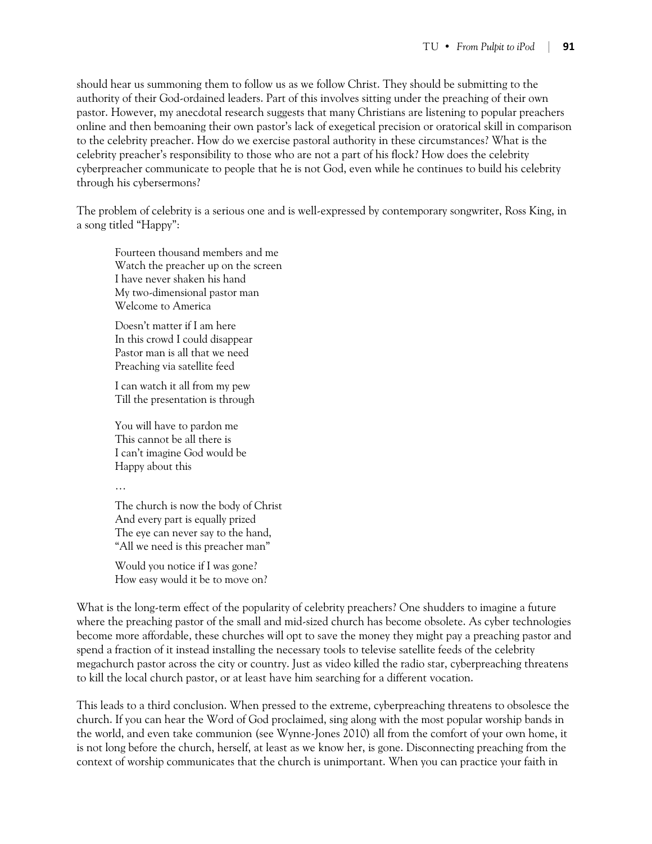should hear us summoning them to follow us as we follow Christ. They should be submitting to the authority of their God-ordained leaders. Part of this involves sitting under the preaching of their own pastor. However, my anecdotal research suggests that many Christians are listening to popular preachers online and then bemoaning their own pastor's lack of exegetical precision or oratorical skill in comparison to the celebrity preacher. How do we exercise pastoral authority in these circumstances? What is the celebrity preacher's responsibility to those who are not a part of his flock? How does the celebrity cyberpreacher communicate to people that he is not God, even while he continues to build his celebrity through his cybersermons?

The problem of celebrity is a serious one and is well-expressed by contemporary songwriter, Ross King, in a song titled "Happy":

Fourteen thousand members and me Watch the preacher up on the screen I have never shaken his hand My two-dimensional pastor man Welcome to America

Doesn't matter if I am here In this crowd I could disappear Pastor man is all that we need Preaching via satellite feed

I can watch it all from my pew Till the presentation is through

You will have to pardon me This cannot be all there is I can't imagine God would be Happy about this

…

The church is now the body of Christ And every part is equally prized The eye can never say to the hand, "All we need is this preacher man"

Would you notice if I was gone? How easy would it be to move on?

What is the long-term effect of the popularity of celebrity preachers? One shudders to imagine a future where the preaching pastor of the small and mid-sized church has become obsolete. As cyber technologies become more affordable, these churches will opt to save the money they might pay a preaching pastor and spend a fraction of it instead installing the necessary tools to televise satellite feeds of the celebrity megachurch pastor across the city or country. Just as video killed the radio star, cyberpreaching threatens to kill the local church pastor, or at least have him searching for a different vocation.

This leads to a third conclusion. When pressed to the extreme, cyberpreaching threatens to obsolesce the church. If you can hear the Word of God proclaimed, sing along with the most popular worship bands in the world, and even take communion (see Wynne-Jones 2010) all from the comfort of your own home, it is not long before the church, herself, at least as we know her, is gone. Disconnecting preaching from the context of worship communicates that the church is unimportant. When you can practice your faith in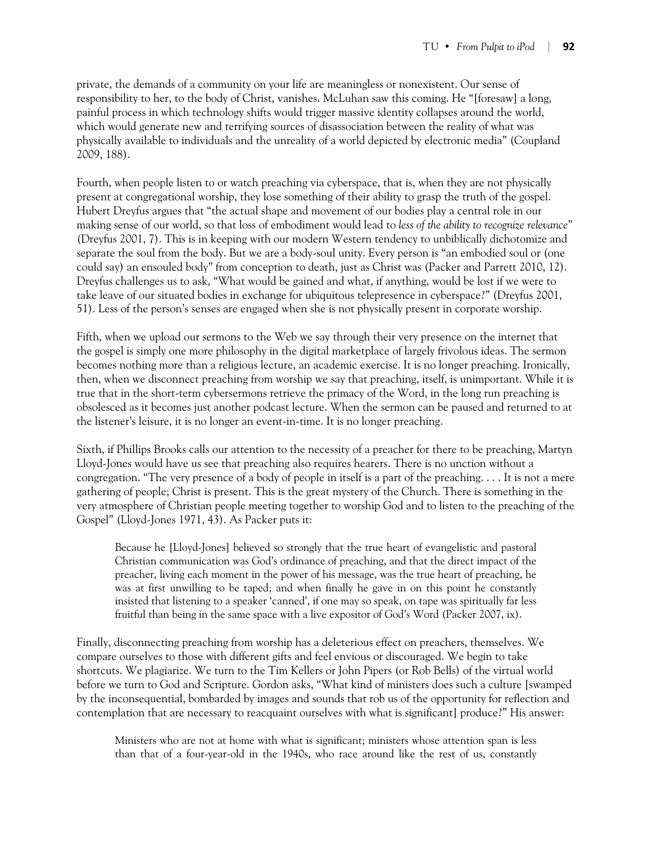private, the demands of a community on your life are meaningless or nonexistent. Our sense of responsibility to her, to the body of Christ, vanishes. McLuhan saw this coming. He "[foresaw] a long, painful process in which technology shifts would trigger massive identity collapses around the world, which would generate new and terrifying sources of disassociation between the reality of what was physically available to individuals and the unreality of a world depicted by electronic media" (Coupland 2009, 188).

Fourth, when people listen to or watch preaching via cyberspace, that is, when they are not physically present at congregational worship, they lose something of their ability to grasp the truth of the gospel. Hubert Dreyfus argues that "the actual shape and movement of our bodies play a central role in our making sense of our world, so that loss of embodiment would lead to *less of the ability to recognize relevance*" (Dreyfus 2001, 7). This is in keeping with our modern Western tendency to unbiblically dichotomize and separate the soul from the body. But we are a body-soul unity. Every person is "an embodied soul or (one could say) an ensouled body" from conception to death, just as Christ was (Packer and Parrett 2010, 12). Dreyfus challenges us to ask, "What would be gained and what, if anything, would be lost if we were to take leave of our situated bodies in exchange for ubiquitous telepresence in cyberspace?" (Dreyfus 2001, 51). Less of the person's senses are engaged when she is not physically present in corporate worship.

Fifth, when we upload our sermons to the Web we say through their very presence on the internet that the gospel is simply one more philosophy in the digital marketplace of largely frivolous ideas. The sermon becomes nothing more than a religious lecture, an academic exercise. It is no longer preaching. Ironically, then, when we disconnect preaching from worship we say that preaching, itself, is unimportant. While it is true that in the short-term cybersermons retrieve the primacy of the Word, in the long run preaching is obsolesced as it becomes just another podcast lecture. When the sermon can be paused and returned to at the listener's leisure, it is no longer an event-in-time. It is no longer preaching.

Sixth, if Phillips Brooks calls our attention to the necessity of a preacher for there to be preaching, Martyn Lloyd-Jones would have us see that preaching also requires hearers. There is no unction without a congregation. "The very presence of a body of people in itself is a part of the preaching. . . . It is not a mere gathering of people; Christ is present. This is the great mystery of the Church. There is something in the very atmosphere of Christian people meeting together to worship God and to listen to the preaching of the Gospel" (Lloyd-Jones 1971, 43). As Packer puts it:

Because he [Lloyd-Jones] believed so strongly that the true heart of evangelistic and pastoral Christian communication was God's ordinance of preaching, and that the direct impact of the preacher, living each moment in the power of his message, was the true heart of preaching, he was at first unwilling to be taped; and when finally he gave in on this point he constantly insisted that listening to a speaker 'canned', if one may so speak, on tape was spiritually far less fruitful than being in the same space with a live expositor of God's Word (Packer 2007, ix).

Finally, disconnecting preaching from worship has a deleterious effect on preachers, themselves. We compare ourselves to those with different gifts and feel envious or discouraged. We begin to take shortcuts. We plagiarize. We turn to the Tim Kellers or John Pipers (or Rob Bells) of the virtual world before we turn to God and Scripture. Gordon asks, "What kind of ministers does such a culture [swamped by the inconsequential, bombarded by images and sounds that rob us of the opportunity for reflection and contemplation that are necessary to reacquaint ourselves with what is significant] produce?" His answer:

Ministers who are not at home with what is significant; ministers whose attention span is less than that of a four-year-old in the 1940s, who race around like the rest of us, constantly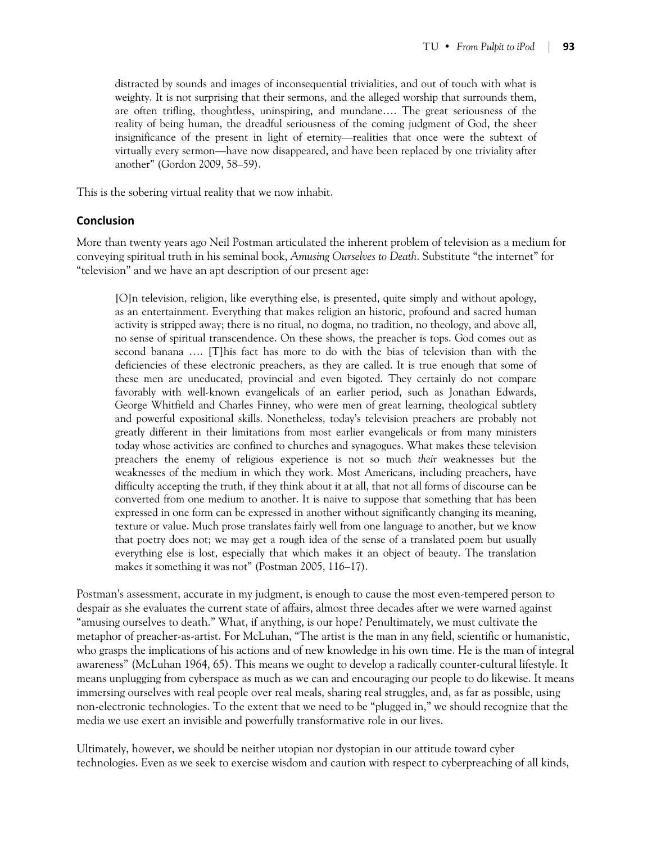distracted by sounds and images of inconsequential trivialities, and out of touch with what is weighty. It is not surprising that their sermons, and the alleged worship that surrounds them, are often trifling, thoughtless, uninspiring, and mundane…. The great seriousness of the reality of being human, the dreadful seriousness of the coming judgment of God, the sheer insignificance of the present in light of eternity—realities that once were the subtext of virtually every sermon—have now disappeared, and have been replaced by one triviality after another" (Gordon 2009, 58–59).

This is the sobering virtual reality that we now inhabit.

#### **Conclusion**

More than twenty years ago Neil Postman articulated the inherent problem of television as a medium for conveying spiritual truth in his seminal book, *Amusing Ourselves to Death*. Substitute "the internet" for "television" and we have an apt description of our present age:

[O]n television, religion, like everything else, is presented, quite simply and without apology, as an entertainment. Everything that makes religion an historic, profound and sacred human activity is stripped away; there is no ritual, no dogma, no tradition, no theology, and above all, no sense of spiritual transcendence. On these shows, the preacher is tops. God comes out as second banana …. [T]his fact has more to do with the bias of television than with the deficiencies of these electronic preachers, as they are called. It is true enough that some of these men are uneducated, provincial and even bigoted. They certainly do not compare favorably with well-known evangelicals of an earlier period, such as Jonathan Edwards, George Whitfield and Charles Finney, who were men of great learning, theological subtlety and powerful expositional skills. Nonetheless, today's television preachers are probably not greatly different in their limitations from most earlier evangelicals or from many ministers today whose activities are confined to churches and synagogues. What makes these television preachers the enemy of religious experience is not so much *their* weaknesses but the weaknesses of the medium in which they work. Most Americans, including preachers, have difficulty accepting the truth, if they think about it at all, that not all forms of discourse can be converted from one medium to another. It is naive to suppose that something that has been expressed in one form can be expressed in another without significantly changing its meaning, texture or value. Much prose translates fairly well from one language to another, but we know that poetry does not; we may get a rough idea of the sense of a translated poem but usually everything else is lost, especially that which makes it an object of beauty. The translation makes it something it was not" (Postman 2005, 116–17).

Postman's assessment, accurate in my judgment, is enough to cause the most even-tempered person to despair as she evaluates the current state of affairs, almost three decades after we were warned against "amusing ourselves to death." What, if anything, is our hope? Penultimately, we must cultivate the metaphor of preacher-as-artist. For McLuhan, "The artist is the man in any field, scientific or humanistic, who grasps the implications of his actions and of new knowledge in his own time. He is the man of integral awareness" (McLuhan 1964, 65). This means we ought to develop a radically counter-cultural lifestyle. It means unplugging from cyberspace as much as we can and encouraging our people to do likewise. It means immersing ourselves with real people over real meals, sharing real struggles, and, as far as possible, using non-electronic technologies. To the extent that we need to be "plugged in," we should recognize that the media we use exert an invisible and powerfully transformative role in our lives.

Ultimately, however, we should be neither utopian nor dystopian in our attitude toward cyber technologies. Even as we seek to exercise wisdom and caution with respect to cyberpreaching of all kinds,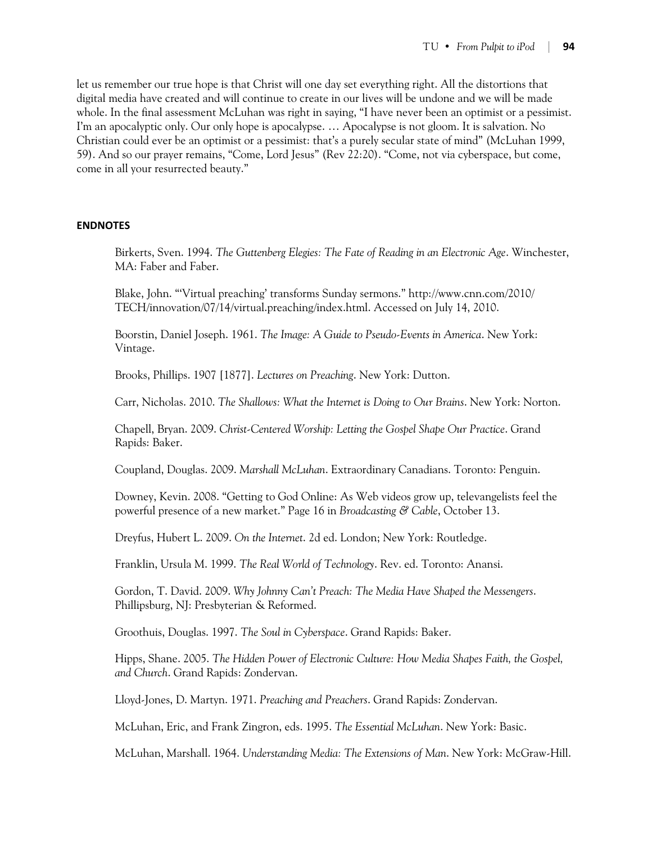let us remember our true hope is that Christ will one day set everything right. All the distortions that digital media have created and will continue to create in our lives will be undone and we will be made whole. In the final assessment McLuhan was right in saying, "I have never been an optimist or a pessimist. I'm an apocalyptic only. Our only hope is apocalypse. … Apocalypse is not gloom. It is salvation. No Christian could ever be an optimist or a pessimist: that's a purely secular state of mind" (McLuhan 1999, 59). And so our prayer remains, "Come, Lord Jesus" (Rev 22:20). "Come, not via cyberspace, but come, come in all your resurrected beauty."

#### **ENDNOTES**

Birkerts, Sven. 1994. *The Guttenberg Elegies: The Fate of Reading in an Electronic Age*. Winchester, MA: Faber and Faber.

Blake, John. "'Virtual preaching' transforms Sunday sermons." http://www.cnn.com/2010/ TECH/innovation/07/14/virtual.preaching/index.html. Accessed on July 14, 2010.

Boorstin, Daniel Joseph. 1961. *The Image: A Guide to Pseudo-Events in America*. New York: Vintage.

Brooks, Phillips. 1907 [1877]. *Lectures on Preaching*. New York: Dutton.

Carr, Nicholas. 2010. *The Shallows: What the Internet is Doing to Our Brains*. New York: Norton.

Chapell, Bryan. 2009. *Christ-Centered Worship: Letting the Gospel Shape Our Practice*. Grand Rapids: Baker.

Coupland, Douglas. 2009. *Marshall McLuhan*. Extraordinary Canadians. Toronto: Penguin.

Downey, Kevin. 2008. "Getting to God Online: As Web videos grow up, televangelists feel the powerful presence of a new market." Page 16 in *Broadcasting & Cable*, October 13.

Dreyfus, Hubert L. 2009. *On the Internet*. 2d ed. London; New York: Routledge.

Franklin, Ursula M. 1999. *The Real World of Technology*. Rev. ed. Toronto: Anansi.

Gordon, T. David. 2009. *Why Johnny Can't Preach: The Media Have Shaped the Messengers*. Phillipsburg, NJ: Presbyterian & Reformed.

Groothuis, Douglas. 1997. *The Soul in Cyberspace*. Grand Rapids: Baker.

Hipps, Shane. 2005. *The Hidden Power of Electronic Culture: How Media Shapes Faith, the Gospel, and Church*. Grand Rapids: Zondervan.

Lloyd-Jones, D. Martyn. 1971. *Preaching and Preachers*. Grand Rapids: Zondervan.

McLuhan, Eric, and Frank Zingron, eds. 1995. *The Essential McLuhan*. New York: Basic.

McLuhan, Marshall. 1964. *Understanding Media: The Extensions of Man*. New York: McGraw-Hill.